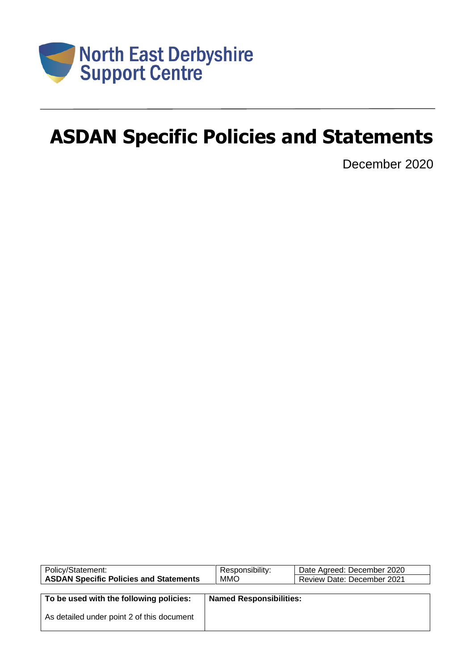

# **ASDAN Specific Policies and Statements**

December 2020

| Policy/Statement:                             | Responsibility:                | Date Agreed: December 2020        |
|-----------------------------------------------|--------------------------------|-----------------------------------|
| <b>ASDAN Specific Policies and Statements</b> | MMO                            | <b>Review Date: December 2021</b> |
|                                               |                                |                                   |
| To be used with the following policies:       | <b>Named Responsibilities:</b> |                                   |
|                                               |                                |                                   |
| As detailed under point 2 of this document    |                                |                                   |
|                                               |                                |                                   |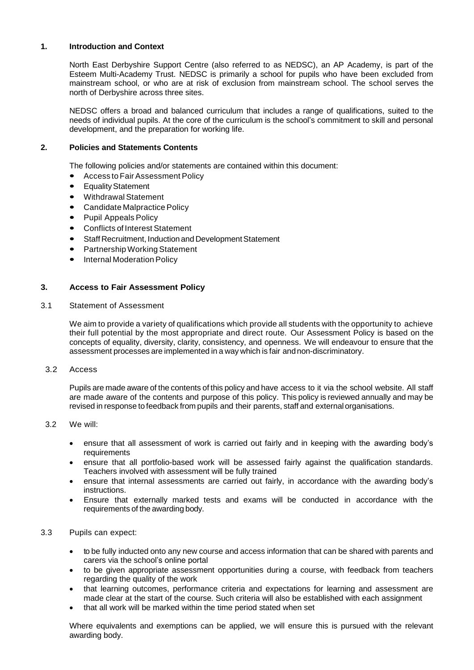# **1. Introduction and Context**

North East Derbyshire Support Centre (also referred to as NEDSC), an AP Academy, is part of the Esteem Multi-Academy Trust. NEDSC is primarily a school for pupils who have been excluded from mainstream school, or who are at risk of exclusion from mainstream school. The school serves the north of Derbyshire across three sites.

NEDSC offers a broad and balanced curriculum that includes a range of qualifications, suited to the needs of individual pupils. At the core of the curriculum is the school's commitment to skill and personal development, and the preparation for working life.

# **2. Policies and Statements Contents**

The following policies and/or statements are contained within this document:

- Access to Fair Assessment Policy
- **Equality Statement**
- Withdrawal Statement
- Candidate Malpractice Policy
- Pupil Appeals Policy
- Conflicts of Interest Statement
- Staff Recruitment, Induction and Development Statement
- Partnership Working Statement
- Internal Moderation Policy

## **3. Access to Fair Assessment Policy**

3.1 Statement of Assessment

We aim to provide a variety of qualifications which provide all students with the opportunity to achieve their full potential by the most appropriate and direct route. Our Assessment Policy is based on the concepts of equality, diversity, clarity, consistency, and openness. We will endeavour to ensure that the assessment processes are implemented in a way which is fair andnon-discriminatory.

3.2 Access

Pupils are made aware of the contents of this policy and have access to it via the school website. All staff are made aware of the contents and purpose of this policy. This policy is reviewed annually and may be revised in response to feedback from pupils and their parents, staff and externalorganisations.

- 3.2 We will:
	- ensure that all assessment of work is carried out fairly and in keeping with the awarding body's requirements
	- ensure that all portfolio-based work will be assessed fairly against the qualification standards. Teachers involved with assessment will be fully trained
	- ensure that internal assessments are carried out fairly, in accordance with the awarding body's instructions.
	- Ensure that externally marked tests and exams will be conducted in accordance with the requirements of the awarding body.
- 3.3 Pupils can expect:
	- to be fully inducted onto any new course and access information that can be shared with parents and carers via the school's online portal
	- to be given appropriate assessment opportunities during a course, with feedback from teachers regarding the quality of the work
	- that learning outcomes, performance criteria and expectations for learning and assessment are made clear at the start of the course. Such criteria will also be established with each assignment
	- that all work will be marked within the time period stated when set

Where equivalents and exemptions can be applied, we will ensure this is pursued with the relevant awarding body.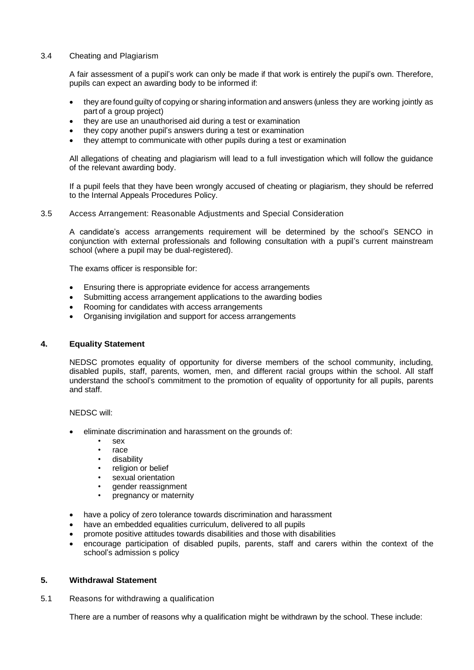# 3.4 Cheating and Plagiarism

A fair assessment of a pupil's work can only be made if that work is entirely the pupil's own. Therefore, pupils can expect an awarding body to be informed if:

- they are found guilty of copying or sharing information and answers (unless they are working jointly as part of a group project)
- they are use an unauthorised aid during a test or examination
- they copy another pupil's answers during a test or examination
- they attempt to communicate with other pupils during a test or examination

All allegations of cheating and plagiarism will lead to a full investigation which will follow the guidance of the relevant awarding body.

If a pupil feels that they have been wrongly accused of cheating or plagiarism, they should be referred to the Internal Appeals Procedures Policy.

## 3.5 Access Arrangement: Reasonable Adjustments and Special Consideration

A candidate's access arrangements requirement will be determined by the school's SENCO in conjunction with external professionals and following consultation with a pupil's current mainstream school (where a pupil may be dual-registered).

The exams officer is responsible for:

- Ensuring there is appropriate evidence for access arrangements
- Submitting access arrangement applications to the awarding bodies
- Rooming for candidates with access arrangements
- Organising invigilation and support for access arrangements

## **4. Equality Statement**

NEDSC promotes equality of opportunity for diverse members of the school community, including, disabled pupils, staff, parents, women, men, and different racial groups within the school. All staff understand the school's commitment to the promotion of equality of opportunity for all pupils, parents and staff.

NEDSC will:

- eliminate discrimination and harassment on the grounds of:
	- sex
	- race
	- disability
	- religion or belief
	- sexual orientation
	- gender reassignment
	- pregnancy or maternity
- have a policy of zero tolerance towards discrimination and harassment
- have an embedded equalities curriculum, delivered to all pupils
- promote positive attitudes towards disabilities and those with disabilities
- encourage participation of disabled pupils, parents, staff and carers within the context of the school's admission s policy

# **5. Withdrawal Statement**

5.1 Reasons for withdrawing a qualification

There are a number of reasons why a qualification might be withdrawn by the school. These include: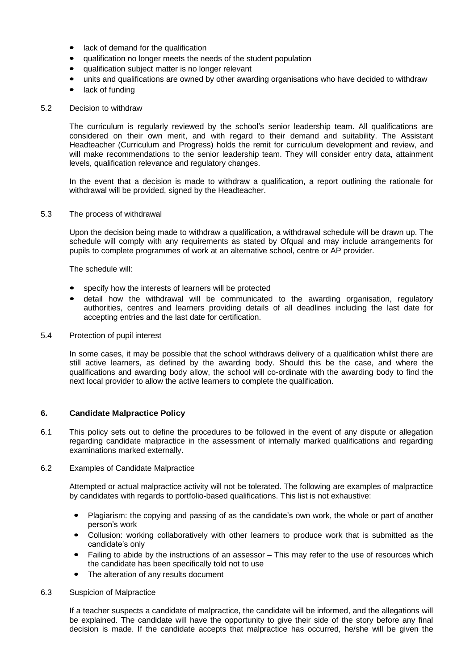- lack of demand for the qualification
- qualification no longer meets the needs of the student population
- qualification subject matter is no longer relevant
- units and qualifications are owned by other awarding organisations who have decided to withdraw
- lack of funding

#### 5.2 Decision to withdraw

The curriculum is regularly reviewed by the school's senior leadership team. All qualifications are considered on their own merit, and with regard to their demand and suitability. The Assistant Headteacher (Curriculum and Progress) holds the remit for curriculum development and review, and will make recommendations to the senior leadership team. They will consider entry data, attainment levels, qualification relevance and regulatory changes.

In the event that a decision is made to withdraw a qualification, a report outlining the rationale for withdrawal will be provided, signed by the Headteacher.

#### 5.3 The process of withdrawal

Upon the decision being made to withdraw a qualification, a withdrawal schedule will be drawn up. The schedule will comply with any requirements as stated by Ofqual and may include arrangements for pupils to complete programmes of work at an alternative school, centre or AP provider.

The schedule will:

- specify how the interests of learners will be protected
- detail how the withdrawal will be communicated to the awarding organisation, regulatory authorities, centres and learners providing details of all deadlines including the last date for accepting entries and the last date for certification.
- 5.4 Protection of pupil interest

In some cases, it may be possible that the school withdraws delivery of a qualification whilst there are still active learners, as defined by the awarding body. Should this be the case, and where the qualifications and awarding body allow, the school will co-ordinate with the awarding body to find the next local provider to allow the active learners to complete the qualification.

# **6. Candidate Malpractice Policy**

6.1 This policy sets out to define the procedures to be followed in the event of any dispute or allegation regarding candidate malpractice in the assessment of internally marked qualifications and regarding examinations marked externally.

## 6.2 Examples of Candidate Malpractice

Attempted or actual malpractice activity will not be tolerated. The following are examples of malpractice by candidates with regards to portfolio-based qualifications. This list is not exhaustive:

- Plagiarism: the copying and passing of as the candidate's own work, the whole or part of another person's work
- Collusion: working collaboratively with other learners to produce work that is submitted as the candidate's only
- Failing to abide by the instructions of an assessor This may refer to the use of resources which the candidate has been specifically told not to use
- The alteration of any results document

#### 6.3 Suspicion of Malpractice

If a teacher suspects a candidate of malpractice, the candidate will be informed, and the allegations will be explained. The candidate will have the opportunity to give their side of the story before any final decision is made. If the candidate accepts that malpractice has occurred, he/she will be given the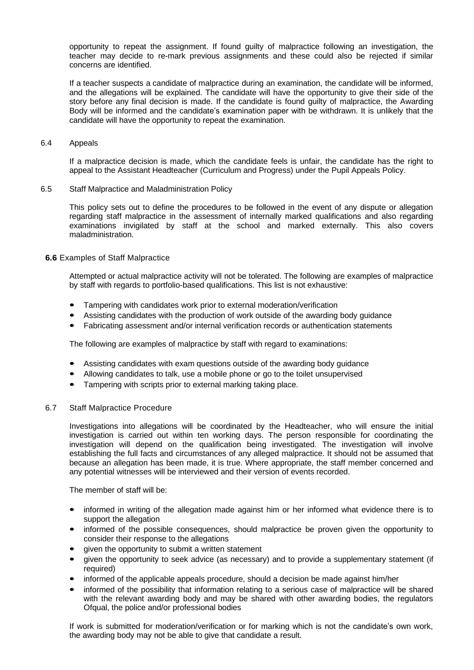opportunity to repeat the assignment. If found guilty of malpractice following an investigation, the teacher may decide to re-mark previous assignments and these could also be rejected if similar concerns are identified.

If a teacher suspects a candidate of malpractice during an examination, the candidate will be informed, and the allegations will be explained. The candidate will have the opportunity to give their side of the story before any final decision is made. If the candidate is found guilty of malpractice, the Awarding Body will be informed and the candidate's examination paper with be withdrawn. It is unlikely that the candidate will have the opportunity to repeat the examination.

# 6.4 Appeals

If a malpractice decision is made, which the candidate feels is unfair, the candidate has the right to appeal to the Assistant Headteacher (Curriculum and Progress) under the Pupil Appeals Policy.

6.5 Staff Malpractice and Maladministration Policy

This policy sets out to define the procedures to be followed in the event of any dispute or allegation regarding staff malpractice in the assessment of internally marked qualifications and also regarding examinations invigilated by staff at the school and marked externally. This also covers maladministration.

## **6.6** Examples of Staff Malpractice

Attempted or actual malpractice activity will not be tolerated. The following are examples of malpractice by staff with regards to portfolio-based qualifications. This list is not exhaustive:

- Tampering with candidates work prior to external moderation/verification
- Assisting candidates with the production of work outside of the awarding body guidance
- Fabricating assessment and/or internal verification records or authentication statements

The following are examples of malpractice by staff with regard to examinations:

- Assisting candidates with exam questions outside of the awarding body guidance
- Allowing candidates to talk, use a mobile phone or go to the toilet unsupervised
- Tampering with scripts prior to external marking taking place.

# 6.7 Staff Malpractice Procedure

Investigations into allegations will be coordinated by the Headteacher, who will ensure the initial investigation is carried out within ten working days. The person responsible for coordinating the investigation will depend on the qualification being investigated. The investigation will involve establishing the full facts and circumstances of any alleged malpractice. It should not be assumed that because an allegation has been made, it is true. Where appropriate, the staff member concerned and any potential witnesses will be interviewed and their version of events recorded.

The member of staff will be:

- informed in writing of the allegation made against him or her informed what evidence there is to support the allegation
- informed of the possible consequences, should malpractice be proven given the opportunity to consider their response to the allegations
- given the opportunity to submit a written statement
- given the opportunity to seek advice (as necessary) and to provide a supplementary statement (if required)
- informed of the applicable appeals procedure, should a decision be made against him/her
- informed of the possibility that information relating to a serious case of malpractice will be shared with the relevant awarding body and may be shared with other awarding bodies, the regulators Ofqual, the police and/or professional bodies

If work is submitted for moderation/verification or for marking which is not the candidate's own work, the awarding body may not be able to give that candidate a result.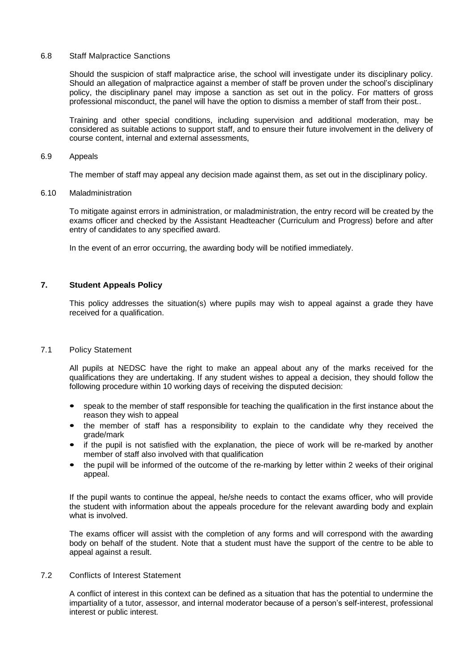#### 6.8 Staff Malpractice Sanctions

Should the suspicion of staff malpractice arise, the school will investigate under its disciplinary policy. Should an allegation of malpractice against a member of staff be proven under the school's disciplinary policy, the disciplinary panel may impose a sanction as set out in the policy. For matters of gross professional misconduct, the panel will have the option to dismiss a member of staff from their post..

Training and other special conditions, including supervision and additional moderation, may be considered as suitable actions to support staff, and to ensure their future involvement in the delivery of course content, internal and external assessments,

#### 6.9 Appeals

The member of staff may appeal any decision made against them, as set out in the disciplinary policy.

## 6.10 Maladministration

To mitigate against errors in administration, or maladministration, the entry record will be created by the exams officer and checked by the Assistant Headteacher (Curriculum and Progress) before and after entry of candidates to any specified award.

In the event of an error occurring, the awarding body will be notified immediately.

# **7. Student Appeals Policy**

This policy addresses the situation(s) where pupils may wish to appeal against a grade they have received for a qualification.

## 7.1 Policy Statement

All pupils at NEDSC have the right to make an appeal about any of the marks received for the qualifications they are undertaking. If any student wishes to appeal a decision, they should follow the following procedure within 10 working days of receiving the disputed decision:

- speak to the member of staff responsible for teaching the qualification in the first instance about the reason they wish to appeal
- the member of staff has a responsibility to explain to the candidate why they received the grade/mark
- if the pupil is not satisfied with the explanation, the piece of work will be re-marked by another member of staff also involved with that qualification
- the pupil will be informed of the outcome of the re-marking by letter within 2 weeks of their original appeal.

If the pupil wants to continue the appeal, he/she needs to contact the exams officer, who will provide the student with information about the appeals procedure for the relevant awarding body and explain what is involved.

The exams officer will assist with the completion of any forms and will correspond with the awarding body on behalf of the student. Note that a student must have the support of the centre to be able to appeal against a result.

7.2 Conflicts of Interest Statement

A conflict of interest in this context can be defined as a situation that has the potential to undermine the impartiality of a tutor, assessor, and internal moderator because of a person's self-interest, professional interest or public interest.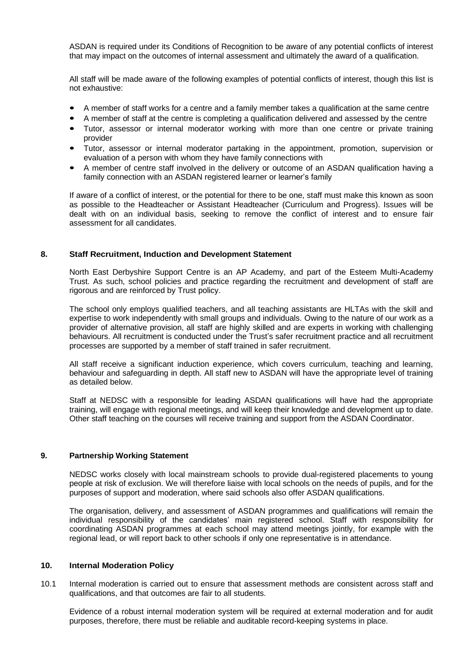ASDAN is required under its Conditions of Recognition to be aware of any potential conflicts of interest that may impact on the outcomes of internal assessment and ultimately the award of a qualification.

All staff will be made aware of the following examples of potential conflicts of interest, though this list is not exhaustive:

- A member of staff works for a centre and a family member takes a qualification at the same centre
- A member of staff at the centre is completing a qualification delivered and assessed by the centre
- Tutor, assessor or internal moderator working with more than one centre or private training provider
- Tutor, assessor or internal moderator partaking in the appointment, promotion, supervision or evaluation of a person with whom they have family connections with
- A member of centre staff involved in the delivery or outcome of an ASDAN qualification having a family connection with an ASDAN registered learner or learner's family

If aware of a conflict of interest, or the potential for there to be one, staff must make this known as soon as possible to the Headteacher or Assistant Headteacher (Curriculum and Progress). Issues will be dealt with on an individual basis, seeking to remove the conflict of interest and to ensure fair assessment for all candidates.

## **8. Staff Recruitment, Induction and Development Statement**

North East Derbyshire Support Centre is an AP Academy, and part of the Esteem Multi-Academy Trust. As such, school policies and practice regarding the recruitment and development of staff are rigorous and are reinforced by Trust policy.

The school only employs qualified teachers, and all teaching assistants are HLTAs with the skill and expertise to work independently with small groups and individuals. Owing to the nature of our work as a provider of alternative provision, all staff are highly skilled and are experts in working with challenging behaviours. All recruitment is conducted under the Trust's safer recruitment practice and all recruitment processes are supported by a member of staff trained in safer recruitment.

All staff receive a significant induction experience, which covers curriculum, teaching and learning, behaviour and safeguarding in depth. All staff new to ASDAN will have the appropriate level of training as detailed below.

Staff at NEDSC with a responsible for leading ASDAN qualifications will have had the appropriate training, will engage with regional meetings, and will keep their knowledge and development up to date. Other staff teaching on the courses will receive training and support from the ASDAN Coordinator.

## **9. Partnership Working Statement**

NEDSC works closely with local mainstream schools to provide dual-registered placements to young people at risk of exclusion. We will therefore liaise with local schools on the needs of pupils, and for the purposes of support and moderation, where said schools also offer ASDAN qualifications.

The organisation, delivery, and assessment of ASDAN programmes and qualifications will remain the individual responsibility of the candidates' main registered school. Staff with responsibility for coordinating ASDAN programmes at each school may attend meetings jointly, for example with the regional lead, or will report back to other schools if only one representative is in attendance.

## **10. Internal Moderation Policy**

10.1 Internal moderation is carried out to ensure that assessment methods are consistent across staff and qualifications, and that outcomes are fair to all students.

Evidence of a robust internal moderation system will be required at external moderation and for audit purposes, therefore, there must be reliable and auditable record-keeping systems in place.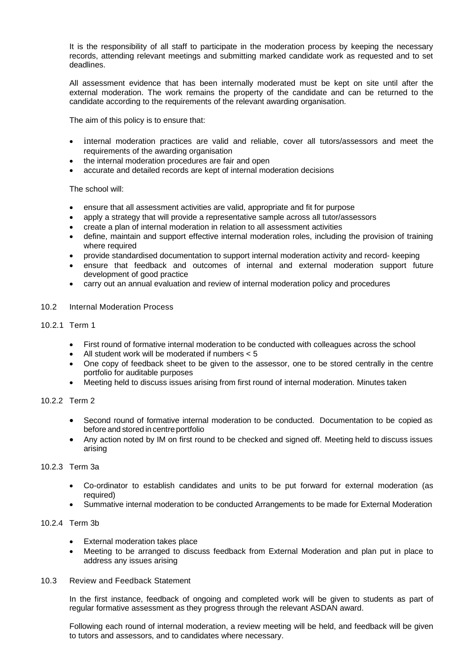It is the responsibility of all staff to participate in the moderation process by keeping the necessary records, attending relevant meetings and submitting marked candidate work as requested and to set deadlines.

All assessment evidence that has been internally moderated must be kept on site until after the external moderation. The work remains the property of the candidate and can be returned to the candidate according to the requirements of the relevant awarding organisation.

The aim of this policy is to ensure that:

- internal moderation practices are valid and reliable, cover all tutors/assessors and meet the requirements of the awarding organisation
- the internal moderation procedures are fair and open
- accurate and detailed records are kept of internal moderation decisions

# The school will:

- ensure that all assessment activities are valid, appropriate and fit for purpose
- apply a strategy that will provide a representative sample across all tutor/assessors
- create a plan of internal moderation in relation to all assessment activities
- define, maintain and support effective internal moderation roles, including the provision of training where required
- provide standardised documentation to support internal moderation activity and record- keeping
- ensure that feedback and outcomes of internal and external moderation support future development of good practice
- carry out an annual evaluation and review of internal moderation policy and procedures
- 10.2 Internal Moderation Process

# 10.2.1 Term 1

- First round of formative internal moderation to be conducted with colleagues across the school
- All student work will be moderated if numbers < 5
- One copy of feedback sheet to be given to the assessor, one to be stored centrally in the centre portfolio for auditable purposes
- Meeting held to discuss issues arising from first round of internal moderation. Minutes taken

# 10.2.2 Term 2

- Second round of formative internal moderation to be conducted. Documentation to be copied as before and stored in centre portfolio
- Any action noted by IM on first round to be checked and signed off. Meeting held to discuss issues arising

## 10.2.3 Term 3a

- Co-ordinator to establish candidates and units to be put forward for external moderation (as required)
- Summative internal moderation to be conducted Arrangements to be made for External Moderation

# 10.2.4 Term 3b

- External moderation takes place
- Meeting to be arranged to discuss feedback from External Moderation and plan put in place to address any issues arising
- 10.3 Review and Feedback Statement

In the first instance, feedback of ongoing and completed work will be given to students as part of regular formative assessment as they progress through the relevant ASDAN award.

Following each round of internal moderation, a review meeting will be held, and feedback will be given to tutors and assessors, and to candidates where necessary.